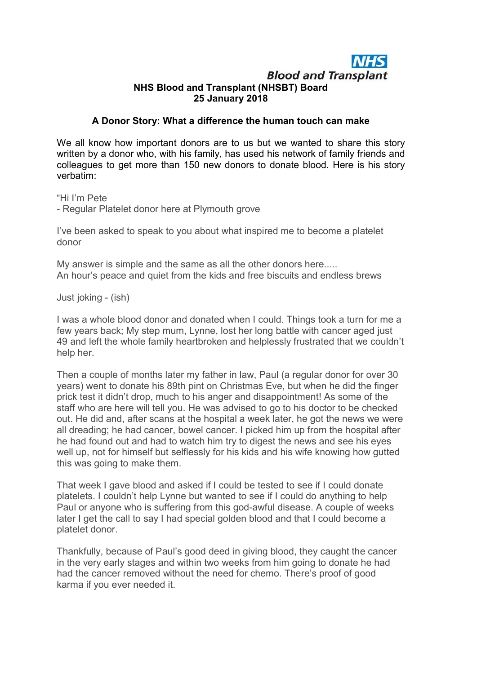## **Blood and Transplant** NHS Blood and Transplant (NHSBT) Board 25 January 2018

## A Donor Story: What a difference the human touch can make

We all know how important donors are to us but we wanted to share this story written by a donor who, with his family, has used his network of family friends and colleagues to get more than 150 new donors to donate blood. Here is his story verbatim:

"Hi I'm Pete

- Regular Platelet donor here at Plymouth grove

I've been asked to speak to you about what inspired me to become a platelet donor

My answer is simple and the same as all the other donors here..... An hour's peace and quiet from the kids and free biscuits and endless brews

Just joking - (ish)

I was a whole blood donor and donated when I could. Things took a turn for me a few years back; My step mum, Lynne, lost her long battle with cancer aged just 49 and left the whole family heartbroken and helplessly frustrated that we couldn't help her.

Then a couple of months later my father in law, Paul (a regular donor for over 30 years) went to donate his 89th pint on Christmas Eve, but when he did the finger prick test it didn't drop, much to his anger and disappointment! As some of the staff who are here will tell you. He was advised to go to his doctor to be checked out. He did and, after scans at the hospital a week later, he got the news we were all dreading; he had cancer, bowel cancer. I picked him up from the hospital after he had found out and had to watch him try to digest the news and see his eyes well up, not for himself but selflessly for his kids and his wife knowing how gutted this was going to make them.

That week I gave blood and asked if I could be tested to see if I could donate platelets. I couldn't help Lynne but wanted to see if I could do anything to help Paul or anyone who is suffering from this god-awful disease. A couple of weeks later I get the call to say I had special golden blood and that I could become a platelet donor.

Thankfully, because of Paul's good deed in giving blood, they caught the cancer in the very early stages and within two weeks from him going to donate he had had the cancer removed without the need for chemo. There's proof of good karma if you ever needed it.